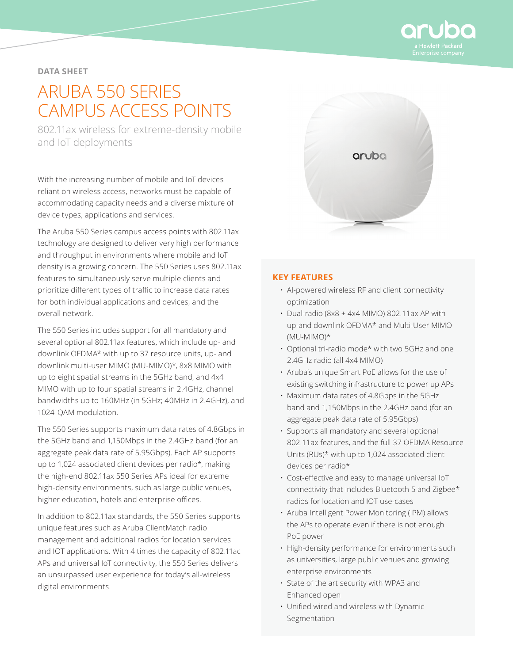

# **DATA SHEET**

# ARUBA 550 SERIES CAMPUS ACCESS POINTS

802.11ax wireless for extreme-density mobile and IoT deployments

With the increasing number of mobile and IoT devices reliant on wireless access, networks must be capable of accommodating capacity needs and a diverse mixture of device types, applications and services.

The Aruba 550 Series campus access points with 802.11ax technology are designed to deliver very high performance and throughput in environments where mobile and IoT density is a growing concern. The 550 Series uses 802.11ax features to simultaneously serve multiple clients and prioritize different types of traffic to increase data rates for both individual applications and devices, and the overall network.

The 550 Series includes support for all mandatory and several optional 802.11ax features, which include up- and downlink OFDMA\* with up to 37 resource units, up- and downlink multi-user MIMO (MU-MIMO)\*, 8x8 MIMO with up to eight spatial streams in the 5GHz band, and 4x4 MIMO with up to four spatial streams in 2.4GHz, channel bandwidths up to 160MHz (in 5GHz; 40MHz in 2.4GHz), and 1024-QAM modulation.

The 550 Series supports maximum data rates of 4.8Gbps in the 5GHz band and 1,150Mbps in the 2.4GHz band (for an aggregate peak data rate of 5.95Gbps). Each AP supports up to 1,024 associated client devices per radio\*, making the high-end 802.11ax 550 Series APs ideal for extreme high-density environments, such as large public venues, higher education, hotels and enterprise offices.

In addition to 802.11ax standards, the 550 Series supports unique features such as Aruba ClientMatch radio management and additional radios for location services and IOT applications. With 4 times the capacity of 802.11ac APs and universal IoT connectivity, the 550 Series delivers an unsurpassed user experience for today's all-wireless digital environments.



## **KEY FEATURES**

- AI-powered wireless RF and client connectivity optimization
- Dual-radio (8x8 + 4x4 MIMO) 802.11ax AP with up-and downlink OFDMA\* and Multi-User MIMO (MU-MIMO)\*
- Optional tri-radio mode\* with two 5GHz and one 2.4GHz radio (all 4x4 MIMO)
- Aruba's unique Smart PoE allows for the use of existing switching infrastructure to power up APs
- Maximum data rates of 4.8Gbps in the 5GHz band and 1,150Mbps in the 2.4GHz band (for an aggregate peak data rate of 5.95Gbps)
- Supports all mandatory and several optional 802.11ax features, and the full 37 OFDMA Resource Units (RUs)\* with up to 1,024 associated client devices per radio\*
- Cost-effective and easy to manage universal IoT connectivity that includes Bluetooth 5 and Zigbee\* radios for location and IOT use-cases
- Aruba Intelligent Power Monitoring (IPM) allows the APs to operate even if there is not enough PoE power
- High-density performance for environments such as universities, large public venues and growing enterprise environments
- State of the art security with WPA3 and Enhanced open
- Unified wired and wireless with Dynamic Segmentation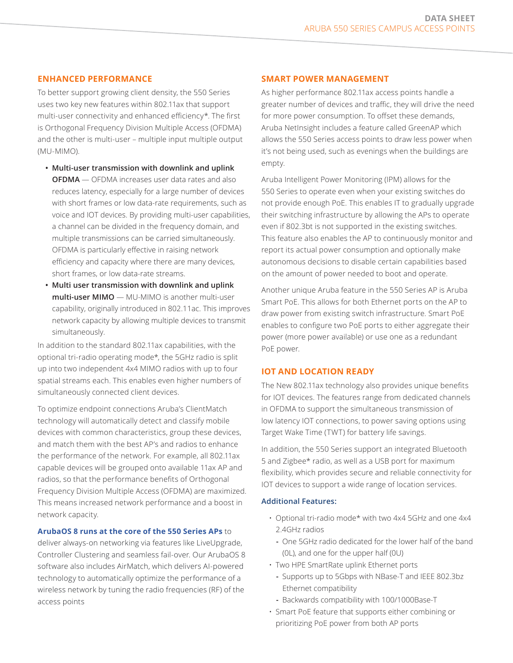## **ENHANCED PERFORMANCE**

To better support growing client density, the 550 Series uses two key new features within 802.11ax that support multi-user connectivity and enhanced efficiency\*. The first is Orthogonal Frequency Division Multiple Access (OFDMA) and the other is multi-user – multiple input multiple output (MU-MIMO).

- **Multi-user transmission with downlink and uplink OFDMA** — OFDMA increases user data rates and also reduces latency, especially for a large number of devices with short frames or low data-rate requirements, such as voice and IOT devices. By providing multi-user capabilities, a channel can be divided in the frequency domain, and multiple transmissions can be carried simultaneously. OFDMA is particularly effective in raising network efficiency and capacity where there are many devices, short frames, or low data-rate streams.
- **Multi user transmission with downlink and uplink multi-user MIMO** — MU-MIMO is another multi-user capability, originally introduced in 802.11ac. This improves network capacity by allowing multiple devices to transmit simultaneously.

In addition to the standard 802.11ax capabilities, with the optional tri-radio operating mode\*, the 5GHz radio is split up into two independent 4x4 MIMO radios with up to four spatial streams each. This enables even higher numbers of simultaneously connected client devices.

To optimize endpoint connections Aruba's ClientMatch technology will automatically detect and classify mobile devices with common characteristics, group these devices, and match them with the best AP's and radios to enhance the performance of the network. For example, all 802.11ax capable devices will be grouped onto available 11ax AP and radios, so that the performance benefits of Orthogonal Frequency Division Multiple Access (OFDMA) are maximized. This means increased network performance and a boost in network capacity.

## **[ArubaOS 8 runs at the core of the 550 Series APs](https://www.arubanetworks.com/assets/ds/DS_ArubaOS8.pdf)** to

deliver always-on networking via features like LiveUpgrade, Controller Clustering and seamless fail-over. Our ArubaOS 8 software also includes AirMatch, which delivers AI-powered technology to automatically optimize the performance of a wireless network by tuning the radio frequencies (RF) of the access points

## **SMART POWER MANAGEMENT**

As higher performance 802.11ax access points handle a greater number of devices and traffic, they will drive the need for more power consumption. To offset these demands, Aruba NetInsight includes a feature called GreenAP which allows the 550 Series access points to draw less power when it's not being used, such as evenings when the buildings are empty.

Aruba Intelligent Power Monitoring (IPM) allows for the 550 Series to operate even when your existing switches do not provide enough PoE. This enables IT to gradually upgrade their switching infrastructure by allowing the APs to operate even if 802.3bt is not supported in the existing switches. This feature also enables the AP to continuously monitor and report its actual power consumption and optionally make autonomous decisions to disable certain capabilities based on the amount of power needed to boot and operate.

Another unique Aruba feature in the 550 Series AP is Aruba Smart PoE. This allows for both Ethernet ports on the AP to draw power from existing switch infrastructure. Smart PoE enables to configure two PoE ports to either aggregate their power (more power available) or use one as a redundant PoE power.

## **IOT AND LOCATION READY**

The New 802.11ax technology also provides unique benefits for IOT devices. The features range from dedicated channels in OFDMA to support the simultaneous transmission of low latency IOT connections, to power saving options using Target Wake Time (TWT) for battery life savings.

In addition, the 550 Series support an integrated Bluetooth 5 and Zigbee\* radio, as well as a USB port for maximum flexibility, which provides secure and reliable connectivity for IOT devices to support a wide range of location services.

#### **Additional Features:**

- Optional tri-radio mode\* with two 4x4 5GHz and one 4x4 2.4GHz radios
	- **-** One 5GHz radio dedicated for the lower half of the band (0L), and one for the upper half (0U)
- Two HPE SmartRate uplink Ethernet ports
	- **-** Supports up to 5Gbps with NBase-T and IEEE 802.3bz Ethernet compatibility
	- **-** Backwards compatibility with 100/1000Base-T
- Smart PoE feature that supports either combining or prioritizing PoE power from both AP ports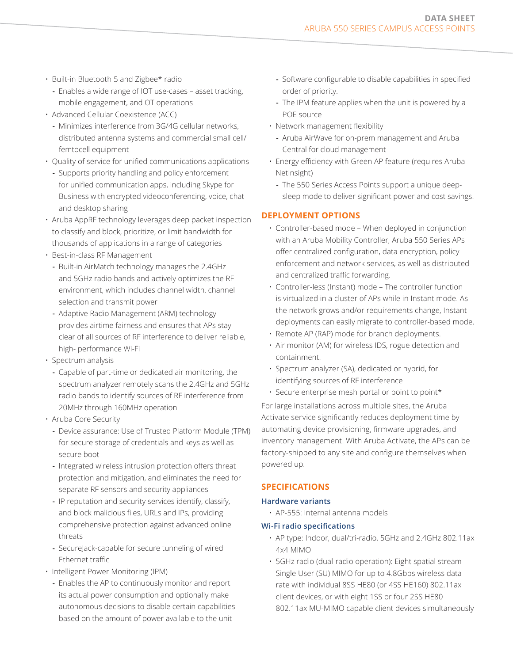- Built-in Bluetooth 5 and Zigbee\* radio
	- **-** Enables a wide range of IOT use-cases asset tracking, mobile engagement, and OT operations
- Advanced Cellular Coexistence (ACC)
	- **-** Minimizes interference from 3G/4G cellular networks, distributed antenna systems and commercial small cell/ femtocell equipment
- Quality of service for unified communications applications
	- **-** Supports priority handling and policy enforcement for unified communication apps, including Skype for Business with encrypted videoconferencing, voice, chat and desktop sharing
- Aruba AppRF technology leverages deep packet inspection to classify and block, prioritize, or limit bandwidth for thousands of applications in a range of categories
- Best-in-class RF Management
- **-** Built-in AirMatch technology manages the 2.4GHz and 5GHz radio bands and actively optimizes the RF environment, which includes channel width, channel selection and transmit power
- **-** Adaptive Radio Management (ARM) technology provides airtime fairness and ensures that APs stay clear of all sources of RF interference to deliver reliable, high- performance Wi-Fi
- Spectrum analysis
	- **-** Capable of part-time or dedicated air monitoring, the spectrum analyzer remotely scans the 2.4GHz and 5GHz radio bands to identify sources of RF interference from 20MHz through 160MHz operation
- Aruba Core Security
	- **-** Device assurance: Use of Trusted Platform Module (TPM) for secure storage of credentials and keys as well as secure boot
	- **-** Integrated wireless intrusion protection offers threat protection and mitigation, and eliminates the need for separate RF sensors and security appliances
	- **-** IP reputation and security services identify, classify, and block malicious files, URLs and IPs, providing comprehensive protection against advanced online threats
	- **-** SecureJack-capable for secure tunneling of wired Ethernet traffic
- Intelligent Power Monitoring (IPM)
	- **-** Enables the AP to continuously monitor and report its actual power consumption and optionally make autonomous decisions to disable certain capabilities based on the amount of power available to the unit
- **-** Software configurable to disable capabilities in specified order of priority.
- **-** The IPM feature applies when the unit is powered by a POE source
- Network management flexibility
	- **-** Aruba AirWave for on-prem management and Aruba Central for cloud management
- Energy efficiency with Green AP feature (requires Aruba NetInsight)
	- **-** The 550 Series Access Points support a unique deepsleep mode to deliver significant power and cost savings.

# **DEPLOYMENT OPTIONS**

- Controller-based mode When deployed in conjunction with an Aruba Mobility Controller, Aruba 550 Series APs offer centralized configuration, data encryption, policy enforcement and network services, as well as distributed and centralized traffic forwarding.
- Controller-less (Instant) mode The controller function is virtualized in a cluster of APs while in Instant mode. As the network grows and/or requirements change, Instant deployments can easily migrate to controller-based mode.
- Remote AP (RAP) mode for branch deployments.
- Air monitor (AM) for wireless IDS, rogue detection and containment.
- Spectrum analyzer (SA), dedicated or hybrid, for identifying sources of RF interference
- Secure enterprise mesh portal or point to point\*

For large installations across multiple sites, the Aruba Activate service significantly reduces deployment time by automating device provisioning, firmware upgrades, and inventory management. With Aruba Activate, the APs can be factory-shipped to any site and configure themselves when powered up.

## **SPECIFICATIONS**

## **Hardware variants**

• AP-555: Internal antenna models

## **Wi-Fi radio specifications**

- AP type: Indoor, dual/tri-radio, 5GHz and 2.4GHz 802.11ax 4x4 MIMO
- 5GHz radio (dual-radio operation): Eight spatial stream Single User (SU) MIMO for up to 4.8Gbps wireless data rate with individual 8SS HE80 (or 4SS HE160) 802.11ax client devices, or with eight 1SS or four 2SS HE80 802.11ax MU-MIMO capable client devices simultaneously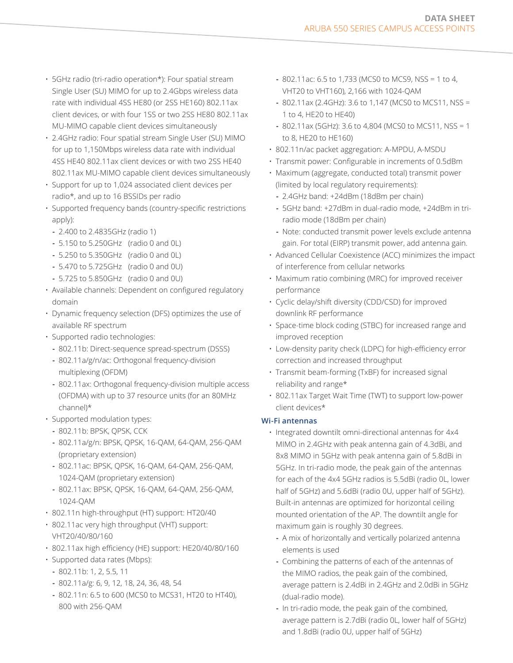- 5GHz radio (tri-radio operation\*): Four spatial stream Single User (SU) MIMO for up to 2.4Gbps wireless data rate with individual 4SS HE80 (or 2SS HE160) 802.11ax client devices, or with four 1SS or two 2SS HE80 802.11ax MU-MIMO capable client devices simultaneously
- 2.4GHz radio: Four spatial stream Single User (SU) MIMO for up to 1,150Mbps wireless data rate with individual 4SS HE40 802.11ax client devices or with two 2SS HE40 802.11ax MU-MIMO capable client devices simultaneously
- Support for up to 1,024 associated client devices per radio\*, and up to 16 BSSIDs per radio
- Supported frequency bands (country-specific restrictions apply):
	- **-** 2.400 to 2.4835GHz (radio 1)
	- **-** 5.150 to 5.250GHz (radio 0 and 0L)
	- **-** 5.250 to 5.350GHz (radio 0 and 0L)
	- **-** 5.470 to 5.725GHz (radio 0 and 0U)
	- **-** 5.725 to 5.850GHz (radio 0 and 0U)
- Available channels: Dependent on configured regulatory domain
- Dynamic frequency selection (DFS) optimizes the use of available RF spectrum
- Supported radio technologies:
	- **-** 802.11b: Direct-sequence spread-spectrum (DSSS)
	- **-** 802.11a/g/n/ac: Orthogonal frequency-division multiplexing (OFDM)
	- **-** 802.11ax: Orthogonal frequency-division multiple access (OFDMA) with up to 37 resource units (for an 80MHz channel)\*
- Supported modulation types:
	- **-** 802.11b: BPSK, QPSK, CCK
	- **-** 802.11a/g/n: BPSK, QPSK, 16-QAM, 64-QAM, 256-QAM (proprietary extension)
	- **-** 802.11ac: BPSK, QPSK, 16-QAM, 64-QAM, 256-QAM, 1024-QAM (proprietary extension)
	- **-** 802.11ax: BPSK, QPSK, 16-QAM, 64-QAM, 256-QAM, 1024-QAM
- 802.11n high-throughput (HT) support: HT20/40
- 802.11ac very high throughput (VHT) support: VHT20/40/80/160
- 802.11ax high efficiency (HE) support: HE20/40/80/160
- Supported data rates (Mbps):
	- **-** 802.11b: 1, 2, 5.5, 11
	- **-** 802.11a/g: 6, 9, 12, 18, 24, 36, 48, 54
	- **-** 802.11n: 6.5 to 600 (MCS0 to MCS31, HT20 to HT40), 800 with 256-QAM
- **-** 802.11ac: 6.5 to 1,733 (MCS0 to MCS9, NSS = 1 to 4, VHT20 to VHT160), 2,166 with 1024-QAM
- **-** 802.11ax (2.4GHz): 3.6 to 1,147 (MCS0 to MCS11, NSS = 1 to 4, HE20 to HE40)
- **-** 802.11ax (5GHz): 3.6 to 4,804 (MCS0 to MCS11, NSS = 1 to 8, HE20 to HE160)
- 802.11n/ac packet aggregation: A-MPDU, A-MSDU
- Transmit power: Configurable in increments of 0.5dBm
- Maximum (aggregate, conducted total) transmit power (limited by local regulatory requirements):
	- **-** 2.4GHz band: +24dBm (18dBm per chain)
	- **-** 5GHz band: +27dBm in dual-radio mode, +24dBm in triradio mode (18dBm per chain)
	- **-** Note: conducted transmit power levels exclude antenna gain. For total (EIRP) transmit power, add antenna gain.
- Advanced Cellular Coexistence (ACC) minimizes the impact of interference from cellular networks
- Maximum ratio combining (MRC) for improved receiver performance
- Cyclic delay/shift diversity (CDD/CSD) for improved downlink RF performance
- Space-time block coding (STBC) for increased range and improved reception
- Low-density parity check (LDPC) for high-efficiency error correction and increased throughput
- Transmit beam-forming (TxBF) for increased signal reliability and range\*
- 802.11ax Target Wait Time (TWT) to support low-power client devices\*

## **Wi-Fi antennas**

- Integrated downtilt omni-directional antennas for 4x4 MIMO in 2.4GHz with peak antenna gain of 4.3dBi, and 8x8 MIMO in 5GHz with peak antenna gain of 5.8dBi in 5GHz. In tri-radio mode, the peak gain of the antennas for each of the 4x4 5GHz radios is 5.5dBi (radio 0L, lower half of 5GHz) and 5.6dBi (radio 0U, upper half of 5GHz). Built-in antennas are optimized for horizontal ceiling mounted orientation of the AP. The downtilt angle for maximum gain is roughly 30 degrees.
	- **-** A mix of horizontally and vertically polarized antenna elements is used
	- **-** Combining the patterns of each of the antennas of the MIMO radios, the peak gain of the combined, average pattern is 2.4dBi in 2.4GHz and 2.0dBi in 5GHz (dual-radio mode).
	- **-** In tri-radio mode, the peak gain of the combined, average pattern is 2.7dBi (radio 0L, lower half of 5GHz) and 1.8dBi (radio 0U, upper half of 5GHz)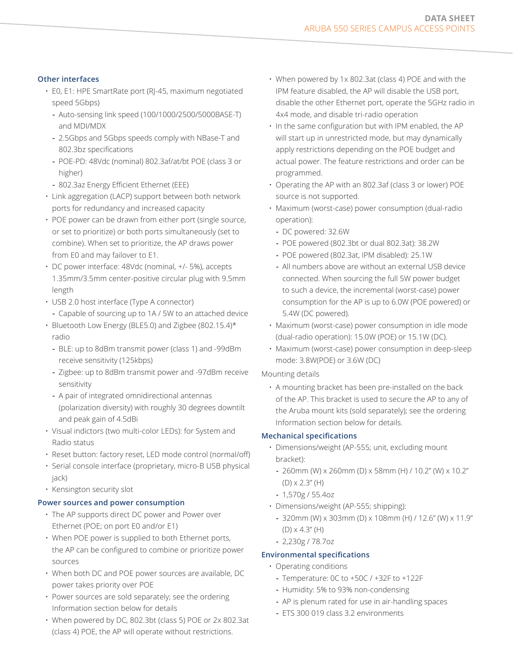# **Other interfaces**

- E0, E1: HPE SmartRate port (RJ-45, maximum negotiated speed 5Gbps)
	- **-** Auto-sensing link speed (100/1000/2500/5000BASE-T) and MDI/MDX
	- **-** 2.5Gbps and 5Gbps speeds comply with NBase-T and 802.3bz specifications
	- **-** POE-PD: 48Vdc (nominal) 802.3af/at/bt POE (class 3 or higher)
	- **-** 802.3az Energy Efficient Ethernet (EEE)
- Link aggregation (LACP) support between both network ports for redundancy and increased capacity
- POE power can be drawn from either port (single source, or set to prioritize) or both ports simultaneously (set to combine). When set to prioritize, the AP draws power from E0 and may failover to E1.
- DC power interface: 48Vdc (nominal, +/- 5%), accepts 1.35mm/3.5mm center-positive circular plug with 9.5mm length
- USB 2.0 host interface (Type A connector)
	- **-** Capable of sourcing up to 1A / 5W to an attached device
- Bluetooth Low Energy (BLE5.0) and Zigbee (802.15.4)\* radio
	- **-** BLE: up to 8dBm transmit power (class 1) and -99dBm receive sensitivity (125kbps)
	- **-** Zigbee: up to 8dBm transmit power and -97dBm receive sensitivity
	- **-** A pair of integrated omnidirectional antennas (polarization diversity) with roughly 30 degrees downtilt and peak gain of 4.5dBi
- Visual indictors (two multi-color LEDs): for System and Radio status
- Reset button: factory reset, LED mode control (normal/off)
- Serial console interface (proprietary, micro-B USB physical jack)
- Kensington security slot

## **Power sources and power consumption**

- The AP supports direct DC power and Power over Ethernet (POE; on port E0 and/or E1)
- When POE power is supplied to both Ethernet ports, the AP can be configured to combine or prioritize power sources
- When both DC and POE power sources are available, DC power takes priority over POE
- Power sources are sold separately; see the ordering Information section below for details
- When powered by DC, 802.3bt (class 5) POE or 2x 802.3at (class 4) POE, the AP will operate without restrictions.
- When powered by 1x 802.3at (class 4) POE and with the IPM feature disabled, the AP will disable the USB port, disable the other Ethernet port, operate the 5GHz radio in 4x4 mode, and disable tri-radio operation
- In the same configuration but with IPM enabled, the AP will start up in unrestricted mode, but may dynamically apply restrictions depending on the POE budget and actual power. The feature restrictions and order can be programmed.
- Operating the AP with an 802.3af (class 3 or lower) POE source is not supported.
- Maximum (worst-case) power consumption (dual-radio operation):
	- **-** DC powered: 32.6W
	- **-** POE powered (802.3bt or dual 802.3at): 38.2W
	- **-** POE powered (802.3at, IPM disabled): 25.1W
	- **-** All numbers above are without an external USB device connected. When sourcing the full 5W power budget to such a device, the incremental (worst-case) power consumption for the AP is up to 6.0W (POE powered) or 5.4W (DC powered).
- Maximum (worst-case) power consumption in idle mode (dual-radio operation): 15.0W (POE) or 15.1W (DC).
- Maximum (worst-case) power consumption in deep-sleep mode: 3.8W(POE) or 3.6W (DC)

## Mounting details

• A mounting bracket has been pre-installed on the back of the AP. This bracket is used to secure the AP to any of the Aruba mount kits (sold separately); see the ordering Information section below for details.

# **Mechanical specifications**

- Dimensions/weight (AP-555; unit, excluding mount bracket):
	- **-** 260mm (W) x 260mm (D) x 58mm (H) / 10.2" (W) x 10.2" (D) x 2.3" (H)
	- **-** 1,570g / 55.4oz
- Dimensions/weight (AP-555; shipping):
	- **-** 320mm (W) x 303mm (D) x 108mm (H) / 12.6" (W) x 11.9" (D) x 4.3" (H)
	- **-** 2,230g / 78.7oz

# **Environmental specifications**

- Operating conditions
	- **-** Temperature: 0C to +50C / +32F to +122F
	- **-** Humidity: 5% to 93% non-condensing
	- **-** AP is plenum rated for use in air-handling spaces
	- **-** ETS 300 019 class 3.2 environments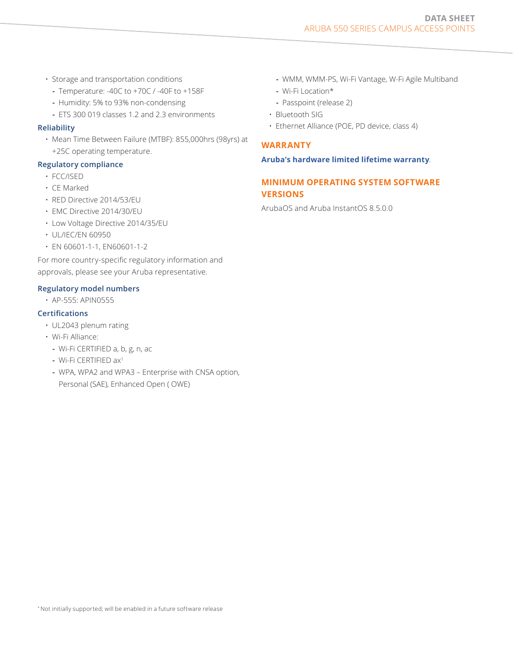- Storage and transportation conditions
	- **-** Temperature: -40C to +70C / -40F to +158F
	- **-** Humidity: 5% to 93% non-condensing
	- **-** ETS 300 019 classes 1.2 and 2.3 environments

#### **Reliability**

• Mean Time Between Failure (MTBF): 855,000hrs (98yrs) at +25C operating temperature.

## **Regulatory compliance**

- FCC/ISED
- CE Marked
- RED Directive 2014/53/EU
- EMC Directive 2014/30/EU
- Low Voltage Directive 2014/35/EU
- UL/IEC/EN 60950
- EN 60601-1-1, EN60601-1-2

For more country-specific regulatory information and approvals, please see your Aruba representative.

#### **Regulatory model numbers**

• AP-555: APIN0555

## **Certifications**

- UL2043 plenum rating
- Wi-Fi Alliance:
	- **-** Wi-Fi CERTIFIED a, b, g, n, ac
	- **-** Wi-Fi CERTIFIED ax1
	- **-** WPA, WPA2 and WPA3 Enterprise with CNSA option, Personal (SAE), Enhanced Open ( OWE)
- **-** WMM, WMM-PS, Wi-Fi Vantage, W-Fi Agile Multiband
- **-** Wi-Fi Location\*
- **-** Passpoint (release 2)
- Bluetooth SIG
- Ethernet Alliance (POE, PD device, class 4)

## **WARRANTY**

#### **[Aruba's hardware limited lifetime warranty](https://www.arubanetworks.com/support-services/product-warranties/)**.

# **MINIMUM OPERATING SYSTEM SOFTWARE VERSIONS**

ArubaOS and Aruba InstantOS 8.5.0.0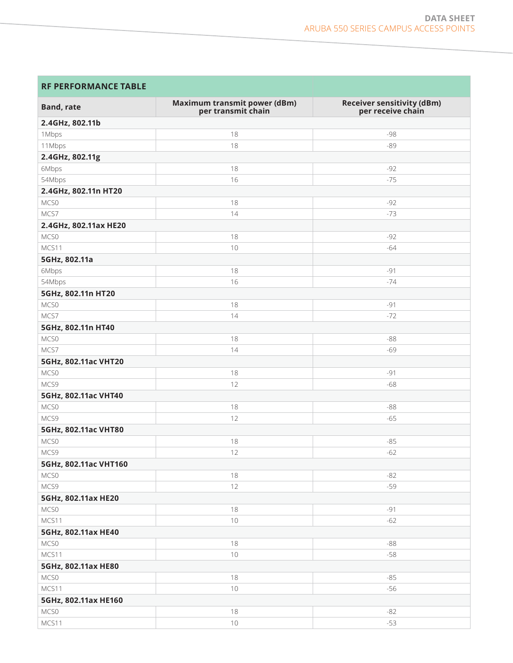a sa kacamatan ing Kabupatèn Kabupatèn Kabupatèn Kabupatèn Kabupatèn Kabupatèn Kabupatèn Kabupatèn Kabupatèn K

| <b>RF PERFORMANCE TABLE</b> |                                                    |                                                        |  |  |  |  |  |
|-----------------------------|----------------------------------------------------|--------------------------------------------------------|--|--|--|--|--|
| <b>Band, rate</b>           | Maximum transmit power (dBm)<br>per transmit chain | <b>Receiver sensitivity (dBm)</b><br>per receive chain |  |  |  |  |  |
| 2.4GHz, 802.11b             |                                                    |                                                        |  |  |  |  |  |
| 1Mbps                       | 18                                                 | -98                                                    |  |  |  |  |  |
| 11Mbps                      | 18                                                 | $-89$                                                  |  |  |  |  |  |
| 2.4GHz, 802.11g             |                                                    |                                                        |  |  |  |  |  |
| 6Mbps                       | 18                                                 | $-92$                                                  |  |  |  |  |  |
| 54Mbps                      | 16                                                 | $-75$                                                  |  |  |  |  |  |
| 2.4GHz, 802.11n HT20        |                                                    |                                                        |  |  |  |  |  |
| MCS0                        | 18                                                 | $-92$                                                  |  |  |  |  |  |
| MCS7                        | 14                                                 | $-73$                                                  |  |  |  |  |  |
| 2.4GHz, 802.11ax HE20       |                                                    |                                                        |  |  |  |  |  |
| MCS0                        | 18                                                 | $-92$                                                  |  |  |  |  |  |
| MCS11                       | 10                                                 | $-64$                                                  |  |  |  |  |  |
| 5GHz, 802.11a               |                                                    |                                                        |  |  |  |  |  |
| 6Mbps                       | 18                                                 | $-91$                                                  |  |  |  |  |  |
| 54Mbps                      | 16                                                 | $-74$                                                  |  |  |  |  |  |
| 5GHz, 802.11n HT20          |                                                    |                                                        |  |  |  |  |  |
| MCS0                        | 18                                                 | $-91$                                                  |  |  |  |  |  |
| MCS7                        | 14                                                 | $-72$                                                  |  |  |  |  |  |
| 5GHz, 802.11n HT40          |                                                    |                                                        |  |  |  |  |  |
| MCS0                        | 18                                                 | $-88$                                                  |  |  |  |  |  |
| MCS7                        | 14                                                 | $-69$                                                  |  |  |  |  |  |
| 5GHz, 802.11ac VHT20        |                                                    |                                                        |  |  |  |  |  |
| MCS0                        | 18                                                 | $-91$                                                  |  |  |  |  |  |
| MCS9                        | 12                                                 | $-68$                                                  |  |  |  |  |  |
| 5GHz, 802.11ac VHT40        |                                                    |                                                        |  |  |  |  |  |
| MCS0                        | 18                                                 | $-88$                                                  |  |  |  |  |  |
| MCS9                        | 12                                                 | $-65$                                                  |  |  |  |  |  |
| 5GHz, 802.11ac VHT80        |                                                    |                                                        |  |  |  |  |  |
| MCS0                        | 18                                                 | $-85$                                                  |  |  |  |  |  |
| MCS9                        | 12                                                 | $-62$                                                  |  |  |  |  |  |
| 5GHz, 802.11ac VHT160       |                                                    |                                                        |  |  |  |  |  |
| MCS0                        | 18                                                 | $-82$                                                  |  |  |  |  |  |
| MCS9                        | 12                                                 | $-59$                                                  |  |  |  |  |  |
| 5GHz, 802.11ax HE20         |                                                    |                                                        |  |  |  |  |  |
| MCS0                        | 18                                                 | $-91$                                                  |  |  |  |  |  |
| MCS11                       | 10                                                 | $-62$                                                  |  |  |  |  |  |
| 5GHz, 802.11ax HE40         |                                                    |                                                        |  |  |  |  |  |
| MCS0                        | 18                                                 | $-88$                                                  |  |  |  |  |  |
| MCS11                       | $10$                                               | $-58$                                                  |  |  |  |  |  |
| 5GHz, 802.11ax HE80         |                                                    |                                                        |  |  |  |  |  |
| MCS0                        | 18                                                 | $-85$                                                  |  |  |  |  |  |
| MCS11                       | $10$                                               | $-56$                                                  |  |  |  |  |  |
| 5GHz, 802.11ax HE160        |                                                    |                                                        |  |  |  |  |  |
| MCS0                        | 18                                                 | $-82$                                                  |  |  |  |  |  |
| MCS11                       | $10\,$                                             | $-53$                                                  |  |  |  |  |  |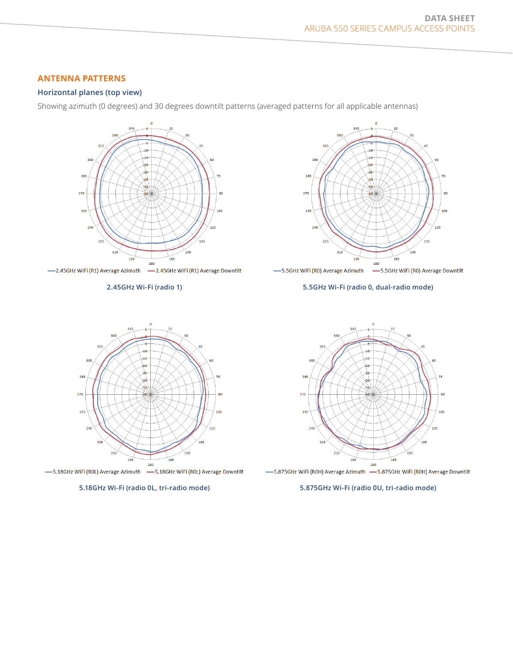# **ANTENNA PATTERNS**

## **Horizontal planes (top view)**

Showing azimuth (0 degrees) and 30 degrees downtilt patterns (averaged patterns for all applicable antennas)



**2.45GHz Wi-Fi (radio 1)**



#### **5.5GHz Wi-Fi (radio 0, dual-radio mode)**



-S.875GHz WiFi (ROH) Average Azimuth -S.875GHz WiFi (ROH) Average Downtilt

#### **5.875GHz Wi-Fi (radio 0U, tri-radio mode)**



-S.18GHz WiFi (ROL) Average Azimuth -S.18GHz WiFi (ROL) Average Downtilt

**5.18GHz Wi-Fi (radio 0L, tri-radio mode)**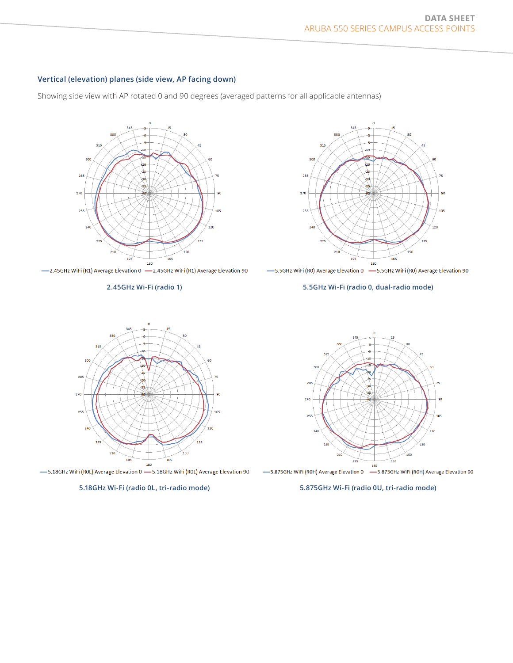#### **Vertical (elevation) planes (side view, AP facing down)**

Showing side view with AP rotated 0 and 90 degrees (averaged patterns for all applicable antennas)



-2.45GHz WiFi (R1) Average Elevation 0 -2.45GHz WiFi (R1) Average Elevation 90

#### **2.45GHz Wi-Fi (radio 1)**



-5.5GHz WiFi (RO) Average Elevation 0 - 5.5GHz WiFi (RO) Average Elevation 90

#### **5.5GHz Wi-Fi (radio 0, dual-radio mode)**



-5.18GHz WiFi (ROL) Average Elevation 0 - 5.18GHz WiFi (ROL) Average Elevation 90





#### **5.875GHz Wi-Fi (radio 0U, tri-radio mode)**